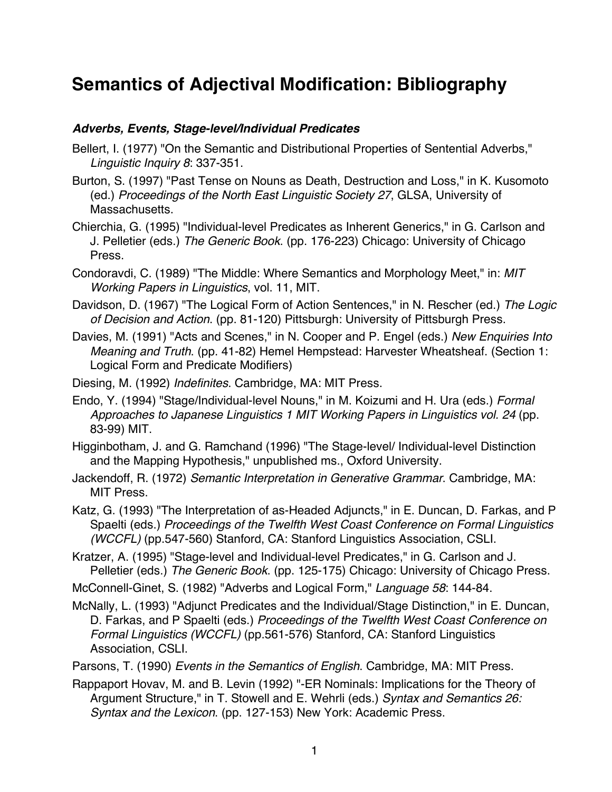# **Semantics of Adjectival Modification: Bibliography**

#### *Adverbs, Events, Stage-level/Individual Predicates*

- Bellert, I. (1977) "On the Semantic and Distributional Properties of Sentential Adverbs," *Linguistic Inquiry 8*: 337-351.
- Burton, S. (1997) "Past Tense on Nouns as Death, Destruction and Loss," in K. Kusomoto (ed.) *Proceedings of the North East Linguistic Society 27*, GLSA, University of Massachusetts.
- Chierchia, G. (1995) "Individual-level Predicates as Inherent Generics," in G. Carlson and J. Pelletier (eds.) *The Generic Book*. (pp. 176-223) Chicago: University of Chicago Press.
- Condoravdi, C. (1989) "The Middle: Where Semantics and Morphology Meet," in: *MIT Working Papers in Linguistics*, vol. 11, MIT.
- Davidson, D. (1967) "The Logical Form of Action Sentences," in N. Rescher (ed.) *The Logic of Decision and Action*. (pp. 81-120) Pittsburgh: University of Pittsburgh Press.
- Davies, M. (1991) "Acts and Scenes," in N. Cooper and P. Engel (eds.) *New Enquiries Into Meaning and Truth*. (pp. 41-82) Hemel Hempstead: Harvester Wheatsheaf. (Section 1: Logical Form and Predicate Modifiers)
- Diesing, M. (1992) *Indefinites*. Cambridge, MA: MIT Press.
- Endo, Y. (1994) "Stage/Individual-level Nouns," in M. Koizumi and H. Ura (eds.) *Formal Approaches to Japanese Linguistics 1 MIT Working Papers in Linguistics vol. 24* (pp. 83-99) MIT.
- Higginbotham, J. and G. Ramchand (1996) "The Stage-level/ Individual-level Distinction and the Mapping Hypothesis," unpublished ms., Oxford University.
- Jackendoff, R. (1972) *Semantic Interpretation in Generative Grammar*. Cambridge, MA: MIT Press.
- Katz, G. (1993) "The Interpretation of as-Headed Adjuncts," in E. Duncan, D. Farkas, and P Spaelti (eds.) *Proceedings of the Twelfth West Coast Conference on Formal Linguistics (WCCFL)* (pp.547-560) Stanford, CA: Stanford Linguistics Association, CSLI.
- Kratzer, A. (1995) "Stage-level and Individual-level Predicates," in G. Carlson and J. Pelletier (eds.) *The Generic Book*. (pp. 125-175) Chicago: University of Chicago Press.

McConnell-Ginet, S. (1982) "Adverbs and Logical Form," *Language 58*: 144-84.

- McNally, L. (1993) "Adjunct Predicates and the Individual/Stage Distinction," in E. Duncan, D. Farkas, and P Spaelti (eds.) *Proceedings of the Twelfth West Coast Conference on Formal Linguistics (WCCFL)* (pp.561-576) Stanford, CA: Stanford Linguistics Association, CSLI.
- Parsons, T. (1990) *Events in the Semantics of English*. Cambridge, MA: MIT Press.
- Rappaport Hovav, M. and B. Levin (1992) "-ER Nominals: Implications for the Theory of Argument Structure," in T. Stowell and E. Wehrli (eds.) *Syntax and Semantics 26: Syntax and the Lexicon*. (pp. 127-153) New York: Academic Press.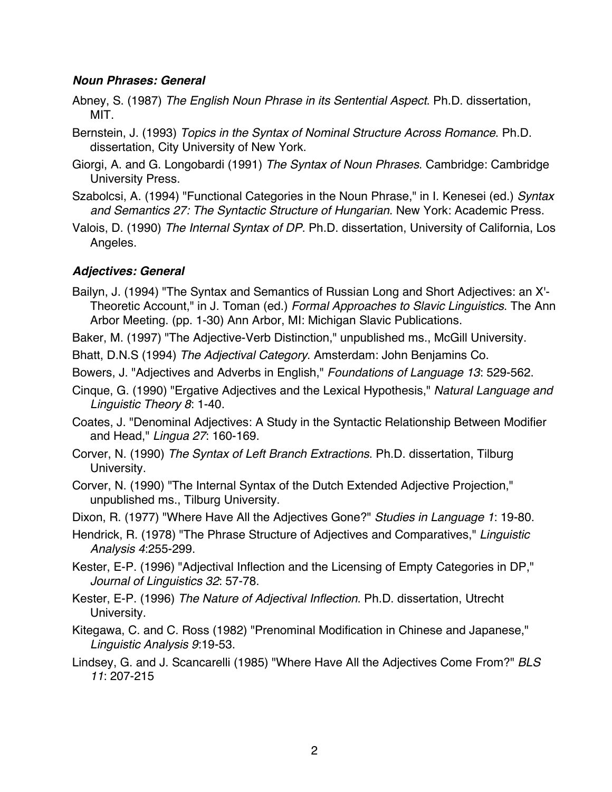#### *Noun Phrases: General*

- Abney, S. (1987) *The English Noun Phrase in its Sentential Aspect*. Ph.D. dissertation, MIT.
- Bernstein, J. (1993) *Topics in the Syntax of Nominal Structure Across Romance*. Ph.D. dissertation, City University of New York.
- Giorgi, A. and G. Longobardi (1991) *The Syntax of Noun Phrases*. Cambridge: Cambridge University Press.
- Szabolcsi, A. (1994) "Functional Categories in the Noun Phrase," in I. Kenesei (ed.) *Syntax and Semantics 27: The Syntactic Structure of Hungarian*. New York: Academic Press.
- Valois, D. (1990) *The Internal Syntax of DP*. Ph.D. dissertation, University of California, Los Angeles.

#### *Adjectives: General*

- Bailyn, J. (1994) "The Syntax and Semantics of Russian Long and Short Adjectives: an X'- Theoretic Account," in J. Toman (ed.) *Formal Approaches to Slavic Linguistics*. The Ann Arbor Meeting. (pp. 1-30) Ann Arbor, MI: Michigan Slavic Publications.
- Baker, M. (1997) "The Adjective-Verb Distinction," unpublished ms., McGill University.
- Bhatt, D.N.S (1994) *The Adjectival Category*. Amsterdam: John Benjamins Co.
- Bowers, J. "Adjectives and Adverbs in English," *Foundations of Language 13*: 529-562.
- Cinque, G. (1990) "Ergative Adjectives and the Lexical Hypothesis," *Natural Language and Linguistic Theory 8*: 1-40.
- Coates, J. "Denominal Adjectives: A Study in the Syntactic Relationship Between Modifier and Head," *Lingua 27*: 160-169.
- Corver, N. (1990) *The Syntax of Left Branch Extractions*. Ph.D. dissertation, Tilburg University.
- Corver, N. (1990) "The Internal Syntax of the Dutch Extended Adjective Projection," unpublished ms., Tilburg University.

Dixon, R. (1977) "Where Have All the Adjectives Gone?" *Studies in Language 1*: 19-80.

- Hendrick, R. (1978) "The Phrase Structure of Adjectives and Comparatives," *Linguistic Analysis 4*:255-299.
- Kester, E-P. (1996) "Adjectival Inflection and the Licensing of Empty Categories in DP," *Journal of Linguistics 32*: 57-78.
- Kester, E-P. (1996) *The Nature of Adjectival Inflection*. Ph.D. dissertation, Utrecht University.
- Kitegawa, C. and C. Ross (1982) "Prenominal Modification in Chinese and Japanese," *Linguistic Analysis 9*:19-53.
- Lindsey, G. and J. Scancarelli (1985) "Where Have All the Adjectives Come From?" *BLS 11*: 207-215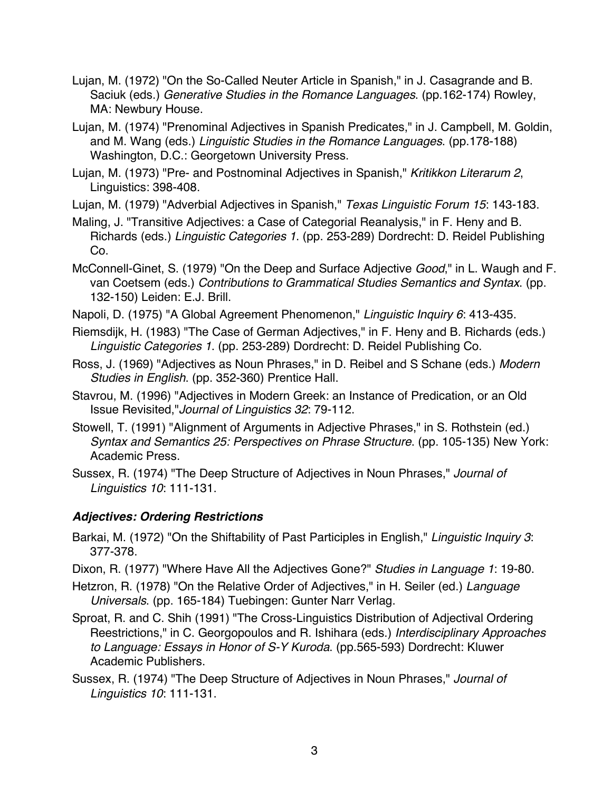- Lujan, M. (1972) "On the So-Called Neuter Article in Spanish," in J. Casagrande and B. Saciuk (eds.) *Generative Studies in the Romance Languages*. (pp.162-174) Rowley, MA: Newbury House.
- Lujan, M. (1974) "Prenominal Adjectives in Spanish Predicates," in J. Campbell, M. Goldin, and M. Wang (eds.) *Linguistic Studies in the Romance Languages*. (pp.178-188) Washington, D.C.: Georgetown University Press.
- Lujan, M. (1973) "Pre- and Postnominal Adjectives in Spanish," *Kritikkon Literarum 2*, Linguistics: 398-408.
- Lujan, M. (1979) "Adverbial Adjectives in Spanish," *Texas Linguistic Forum 15*: 143-183.
- Maling, J. "Transitive Adjectives: a Case of Categorial Reanalysis," in F. Heny and B. Richards (eds.) *Linguistic Categories 1*. (pp. 253-289) Dordrecht: D. Reidel Publishing Co.
- McConnell-Ginet, S. (1979) "On the Deep and Surface Adjective *Good*," in L. Waugh and F. van Coetsem (eds.) *Contributions to Grammatical Studies Semantics and Syntax*. (pp. 132-150) Leiden: E.J. Brill.
- Napoli, D. (1975) "A Global Agreement Phenomenon," *Linguistic Inquiry 6*: 413-435.
- Riemsdijk, H. (1983) "The Case of German Adjectives," in F. Heny and B. Richards (eds.) *Linguistic Categories 1*. (pp. 253-289) Dordrecht: D. Reidel Publishing Co.
- Ross, J. (1969) "Adjectives as Noun Phrases," in D. Reibel and S Schane (eds.) *Modern Studies in English*. (pp. 352-360) Prentice Hall.
- Stavrou, M. (1996) "Adjectives in Modern Greek: an Instance of Predication, or an Old Issue Revisited,"*Journal of Linguistics 32*: 79-112.
- Stowell, T. (1991) "Alignment of Arguments in Adjective Phrases," in S. Rothstein (ed.) *Syntax and Semantics 25: Perspectives on Phrase Structure*. (pp. 105-135) New York: Academic Press.
- Sussex, R. (1974) "The Deep Structure of Adjectives in Noun Phrases," *Journal of Linguistics 10*: 111-131.

## *Adjectives: Ordering Restrictions*

- Barkai, M. (1972) "On the Shiftability of Past Participles in English," *Linguistic Inquiry 3*: 377-378.
- Dixon, R. (1977) "Where Have All the Adjectives Gone?" *Studies in Language 1*: 19-80.
- Hetzron, R. (1978) "On the Relative Order of Adjectives," in H. Seiler (ed.) *Language Universals*. (pp. 165-184) Tuebingen: Gunter Narr Verlag.
- Sproat, R. and C. Shih (1991) "The Cross-Linguistics Distribution of Adjectival Ordering Reestrictions," in C. Georgopoulos and R. Ishihara (eds.) *Interdisciplinary Approaches to Language: Essays in Honor of S-Y Kuroda*. (pp.565-593) Dordrecht: Kluwer Academic Publishers.
- Sussex, R. (1974) "The Deep Structure of Adjectives in Noun Phrases," *Journal of Linguistics 10*: 111-131.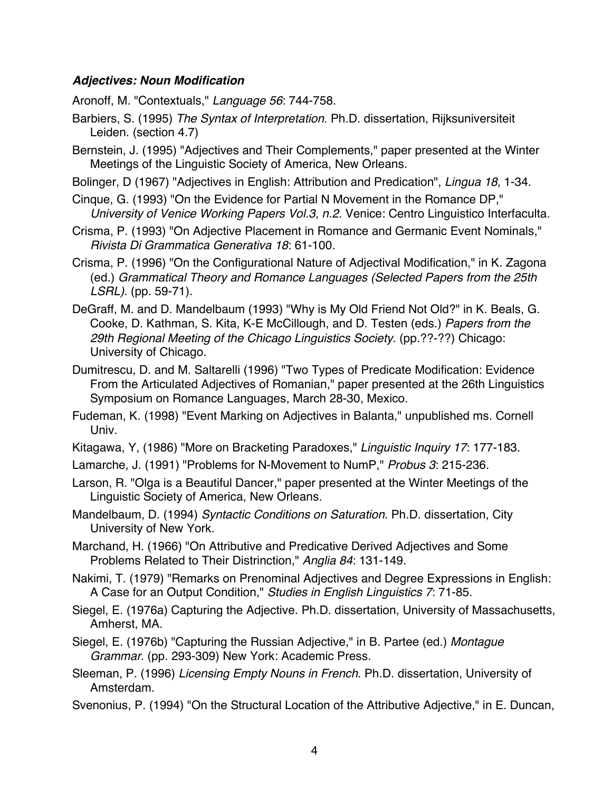### *Adjectives: Noun Modification*

Aronoff, M. "Contextuals," *Language 56*: 744-758.

- Barbiers, S. (1995) *The Syntax of Interpretation*. Ph.D. dissertation, Rijksuniversiteit Leiden. (section 4.7)
- Bernstein, J. (1995) "Adjectives and Their Complements," paper presented at the Winter Meetings of the Linguistic Society of America, New Orleans.
- Bolinger, D (1967) "Adjectives in English: Attribution and Predication", *Lingua 18*, 1-34.
- Cinque, G. (1993) "On the Evidence for Partial N Movement in the Romance DP," *University of Venice Working Papers Vol.3, n.2*. Venice: Centro Linguistico Interfaculta.
- Crisma, P. (1993) "On Adjective Placement in Romance and Germanic Event Nominals," *Rivista Di Grammatica Generativa 18*: 61-100.
- Crisma, P. (1996) "On the Configurational Nature of Adjectival Modification," in K. Zagona (ed.) *Grammatical Theory and Romance Languages (Selected Papers from the 25th LSRL)*. (pp. 59-71).
- DeGraff, M. and D. Mandelbaum (1993) "Why is My Old Friend Not Old?" in K. Beals, G. Cooke, D. Kathman, S. Kita, K-E McCillough, and D. Testen (eds.) *Papers from the 29th Regional Meeting of the Chicago Linguistics Society*. (pp.??-??) Chicago: University of Chicago.
- Dumitrescu, D. and M. Saltarelli (1996) "Two Types of Predicate Modification: Evidence From the Articulated Adjectives of Romanian," paper presented at the 26th Linguistics Symposium on Romance Languages, March 28-30, Mexico.
- Fudeman, K. (1998) "Event Marking on Adjectives in Balanta," unpublished ms. Cornell Univ.
- Kitagawa, Y, (1986) "More on Bracketing Paradoxes," *Linguistic Inquiry 17*: 177-183.
- Lamarche, J. (1991) "Problems for N-Movement to NumP," *Probus 3*: 215-236.
- Larson, R. "Olga is a Beautiful Dancer," paper presented at the Winter Meetings of the Linguistic Society of America, New Orleans.
- Mandelbaum, D. (1994) *Syntactic Conditions on Saturation*. Ph.D. dissertation, City University of New York.
- Marchand, H. (1966) "On Attributive and Predicative Derived Adjectives and Some Problems Related to Their Distrinction," *Anglia 84*: 131-149.
- Nakimi, T. (1979) "Remarks on Prenominal Adjectives and Degree Expressions in English: A Case for an Output Condition," *Studies in English Linguistics 7*: 71-85.
- Siegel, E. (1976a) Capturing the Adjective. Ph.D. dissertation, University of Massachusetts, Amherst, MA.
- Siegel, E. (1976b) "Capturing the Russian Adjective," in B. Partee (ed.) *Montague Grammar*. (pp. 293-309) New York: Academic Press.
- Sleeman, P. (1996) *Licensing Empty Nouns in French*. Ph.D. dissertation, University of Amsterdam.
- Svenonius, P. (1994) "On the Structural Location of the Attributive Adjective," in E. Duncan,